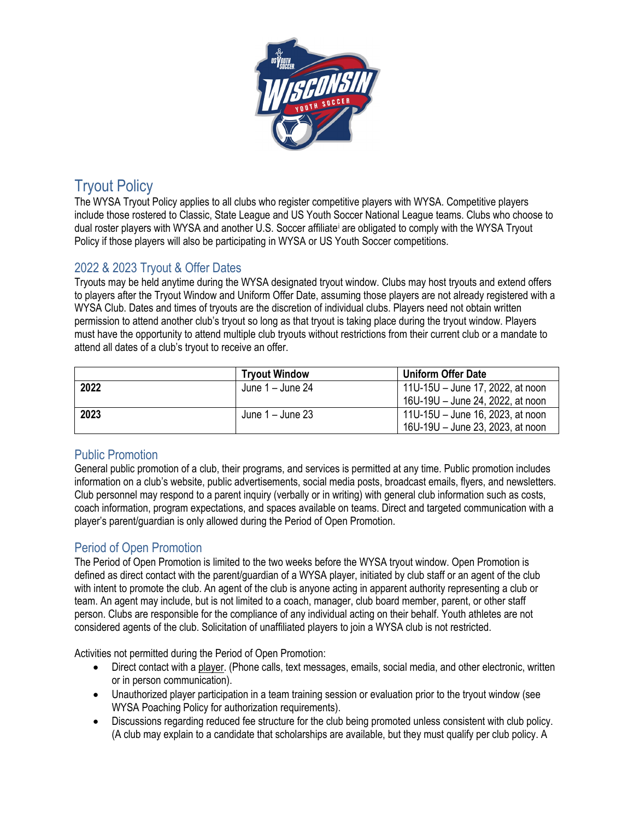

# Tryout Policy

The WYSA Tryout Policy applies to all clubs who register competitive players with WYSA. Competitive players include those rostered to Classic, State League and US Youth Soccer National League teams. Clubs who choose to dual roster players with WYSA and another U.S. Soccer affiliate[i](#page-2-0) are obligated to comply with the WYSA Tryout Policy if those players will also be participating in WYSA or US Youth Soccer competitions.

## 2022 & 2023 Tryout & Offer Dates

Tryouts may be held anytime during the WYSA designated tryout window. Clubs may host tryouts and extend offers to players after the Tryout Window and Uniform Offer Date, assuming those players are not already registered with a WYSA Club. Dates and times of tryouts are the discretion of individual clubs. Players need not obtain written permission to attend another club's tryout so long as that tryout is taking place during the tryout window. Players must have the opportunity to attend multiple club tryouts without restrictions from their current club or a mandate to attend all dates of a club's tryout to receive an offer.

|      | <b>Tryout Window</b> | <b>Uniform Offer Date</b>        |
|------|----------------------|----------------------------------|
| 2022 | June 1 – June 24     | 11U-15U – June 17, 2022, at noon |
|      |                      | 16U-19U - June 24, 2022, at noon |
| 2023 | June 1 – June 23     | 11U-15U – June 16, 2023, at noon |
|      |                      | 16U-19U - June 23, 2023, at noon |

## Public Promotion

General public promotion of a club, their programs, and services is permitted at any time. Public promotion includes information on a club's website, public advertisements, social media posts, broadcast emails, flyers, and newsletters. Club personnel may respond to a parent inquiry (verbally or in writing) with general club information such as costs, coach information, program expectations, and spaces available on teams. Direct and targeted communication with a player's parent/guardian is only allowed during the Period of Open Promotion.

## Period of Open Promotion

The Period of Open Promotion is limited to the two weeks before the WYSA tryout window. Open Promotion is defined as direct contact with the parent/guardian of a WYSA player, initiated by club staff or an agent of the club with intent to promote the club. An agent of the club is anyone acting in apparent authority representing a club or team. An agent may include, but is not limited to a coach, manager, club board member, parent, or other staff person. Clubs are responsible for the compliance of any individual acting on their behalf. Youth athletes are not considered agents of the club. Solicitation of unaffiliated players to join a WYSA club is not restricted.

Activities not permitted during the Period of Open Promotion:

- Direct contact with a player. (Phone calls, text messages, emails, social media, and other electronic, written or in person communication).
- Unauthorized player participation in a team training session or evaluation prior to the tryout window (see WYSA Poaching Policy for authorization requirements).
- Discussions regarding reduced fee structure for the club being promoted unless consistent with club policy. (A club may explain to a candidate that scholarships are available, but they must qualify per club policy. A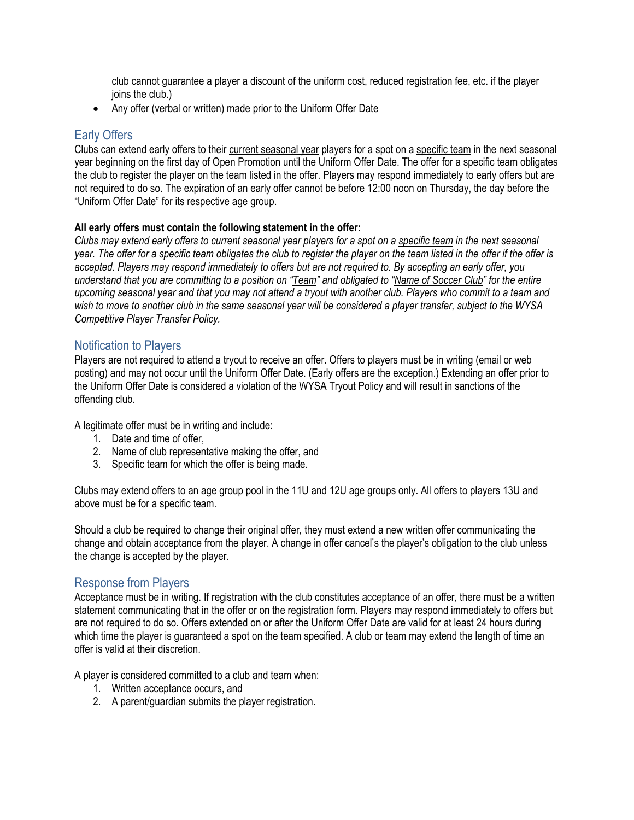club cannot guarantee a player a discount of the uniform cost, reduced registration fee, etc. if the player joins the club.)

• Any offer (verbal or written) made prior to the Uniform Offer Date

#### Early Offers

Clubs can extend early offers to their current seasonal year players for a spot on a specific team in the next seasonal year beginning on the first day of Open Promotion until the Uniform Offer Date. The offer for a specific team obligates the club to register the player on the team listed in the offer. Players may respond immediately to early offers but are not required to do so. The expiration of an early offer cannot be before 12:00 noon on Thursday, the day before the "Uniform Offer Date" for its respective age group.

#### **All early offers must contain the following statement in the offer:**

*Clubs may extend early offers to current seasonal year players for a spot on a specific team in the next seasonal year. The offer for a specific team obligates the club to register the player on the team listed in the offer if the offer is accepted. Players may respond immediately to offers but are not required to. By accepting an early offer, you understand that you are committing to a position on "Team" and obligated to "Name of Soccer Club" for the entire upcoming seasonal year and that you may not attend a tryout with another club. Players who commit to a team and wish to move to another club in the same seasonal year will be considered a player transfer, subject to the WYSA Competitive Player Transfer Policy.*

### Notification to Players

Players are not required to attend a tryout to receive an offer. Offers to players must be in writing (email or web posting) and may not occur until the Uniform Offer Date. (Early offers are the exception.) Extending an offer prior to the Uniform Offer Date is considered a violation of the WYSA Tryout Policy and will result in sanctions of the offending club.

A legitimate offer must be in writing and include:

- 1. Date and time of offer,
- 2. Name of club representative making the offer, and
- 3. Specific team for which the offer is being made.

Clubs may extend offers to an age group pool in the 11U and 12U age groups only. All offers to players 13U and above must be for a specific team.

Should a club be required to change their original offer, they must extend a new written offer communicating the change and obtain acceptance from the player. A change in offer cancel's the player's obligation to the club unless the change is accepted by the player.

### Response from Players

Acceptance must be in writing. If registration with the club constitutes acceptance of an offer, there must be a written statement communicating that in the offer or on the registration form. Players may respond immediately to offers but are not required to do so. Offers extended on or after the Uniform Offer Date are valid for at least 24 hours during which time the player is guaranteed a spot on the team specified. A club or team may extend the length of time an offer is valid at their discretion.

A player is considered committed to a club and team when:

- 1. Written acceptance occurs, and
- 2. A parent/guardian submits the player registration.